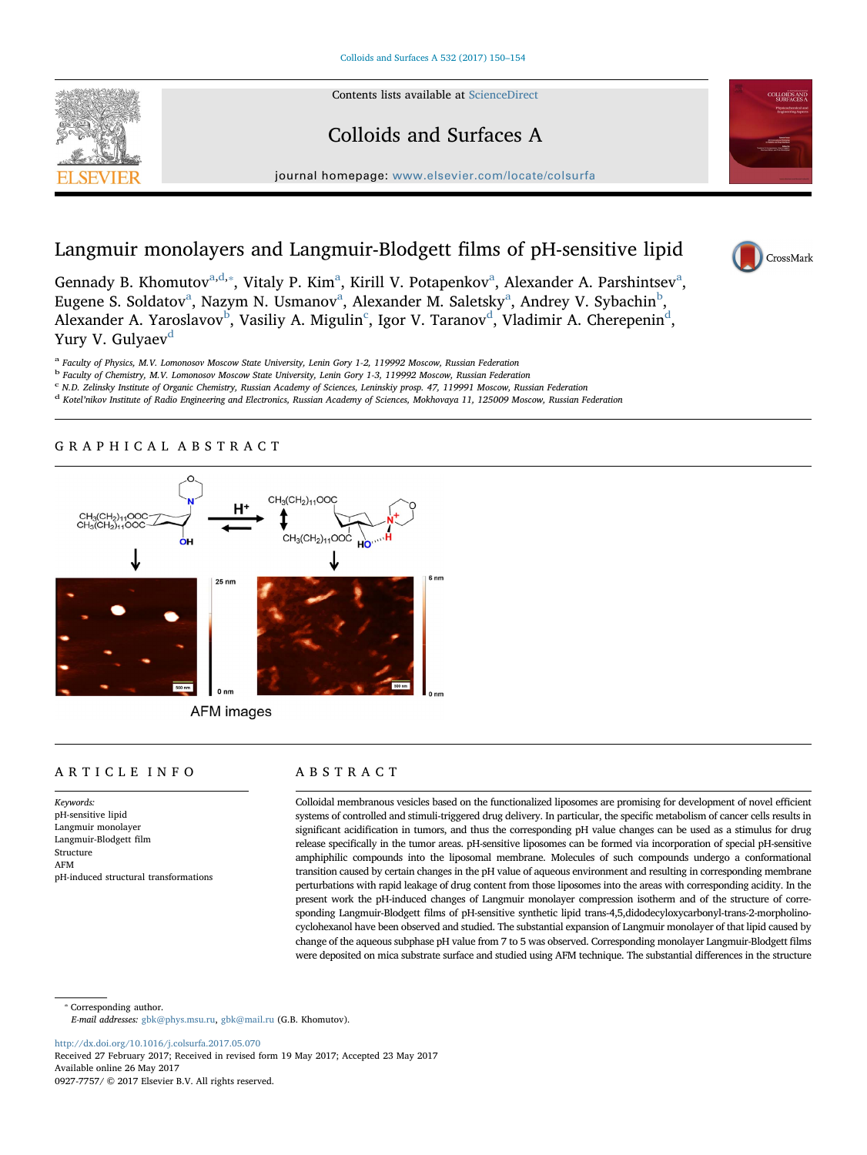

## Colloids and Surfaces A

journal homepage: [www.elsevier.com/locate/colsurfa](http://www.elsevier.com/locate/colsurfa)



# Langmuir monolayers and Langmuir-Blodgett films of pH-sensitive lipid

CrossMark

Genn[a](#page-0-0)dy B. Khomutov<sup>a[,d,](#page-0-1)\*</sup>, Vitaly P. Kim<sup>a</sup>, Kirill V. Potapenkov<sup>a</sup>, Alexander A. Parshintsev<sup>a</sup>, Eugene S. Sold[a](#page-0-0)tov<sup>a</sup>, Nazym N. Usmanov<sup>a</sup>, Alexander M. Saletsky<sup>a</sup>, Andrey V. Sy[b](#page-0-3)achin<sup>b</sup>, Alexander A. Yaroslavov<sup>[b](#page-0-3)</sup>, Vasiliy A. Migulin<sup>[c](#page-0-4)</sup>, Igor V. Taranov<sup>[d](#page-0-1)</sup>, Vladimir A. Cherepenin<sup>d</sup>, Yury V. Gulyaev<sup>[d](#page-0-1)</sup>

<span id="page-0-0"></span><sup>a</sup> Faculty of Physics, M.V. Lomonosov Moscow State University, Lenin Gory 1-2, 119992 Moscow, Russian Federation

<span id="page-0-3"></span><sup>b</sup> Faculty of Chemistry, M.V. Lomonosov Moscow State University, Lenin Gory 1-3, 119992 Moscow, Russian Federation

<span id="page-0-4"></span><sup>c</sup> N.D. Zelinsky Institute of Organic Chemistry, Russian Academy of Sciences, Leninskiy prosp. 47, 119991 Moscow, Russian Federation

<span id="page-0-1"></span><sup>d</sup> Kotel'nikov Institute of Radio Engineering and Electronics, Russian Academy of Sciences, Mokhovaya 11, 125009 Moscow, Russian Federation

### GRAPHICAL ABSTRACT



AFM images

## ARTICLE INFO

Keywords: pH-sensitive lipid Langmuir monolayer Langmuir-Blodgett film Structure AFM pH-induced structural transformations

## ABSTRACT

Colloidal membranous vesicles based on the functionalized liposomes are promising for development of novel efficient systems of controlled and stimuli-triggered drug delivery. In particular, the specific metabolism of cancer cells results in significant acidification in tumors, and thus the corresponding pH value changes can be used as a stimulus for drug release specifically in the tumor areas. pH-sensitive liposomes can be formed via incorporation of special pH-sensitive amphiphilic compounds into the liposomal membrane. Molecules of such compounds undergo a conformational transition caused by certain changes in the pH value of aqueous environment and resulting in corresponding membrane perturbations with rapid leakage of drug content from those liposomes into the areas with corresponding acidity. In the present work the pH-induced changes of Langmuir monolayer compression isotherm and of the structure of corresponding Langmuir-Blodgett films of pH-sensitive synthetic lipid trans-4,5,didodecyloxycarbonyl-trans-2-morpholinocyclohexanol have been observed and studied. The substantial expansion of Langmuir monolayer of that lipid caused by change of the aqueous subphase pH value from 7 to 5 was observed. Corresponding monolayer Langmuir-Blodgett films were deposited on mica substrate surface and studied using AFM technique. The substantial differences in the structure

<span id="page-0-2"></span>⁎ Corresponding author.

E-mail addresses: [gbk@phys.msu.ru,](mailto:gbk@phys.msu.ru) [gbk@mail.ru](mailto:gbk@mail.ru) (G.B. Khomutov).

<http://dx.doi.org/10.1016/j.colsurfa.2017.05.070>

Received 27 February 2017; Received in revised form 19 May 2017; Accepted 23 May 2017 Available online 26 May 2017 0927-7757/ © 2017 Elsevier B.V. All rights reserved.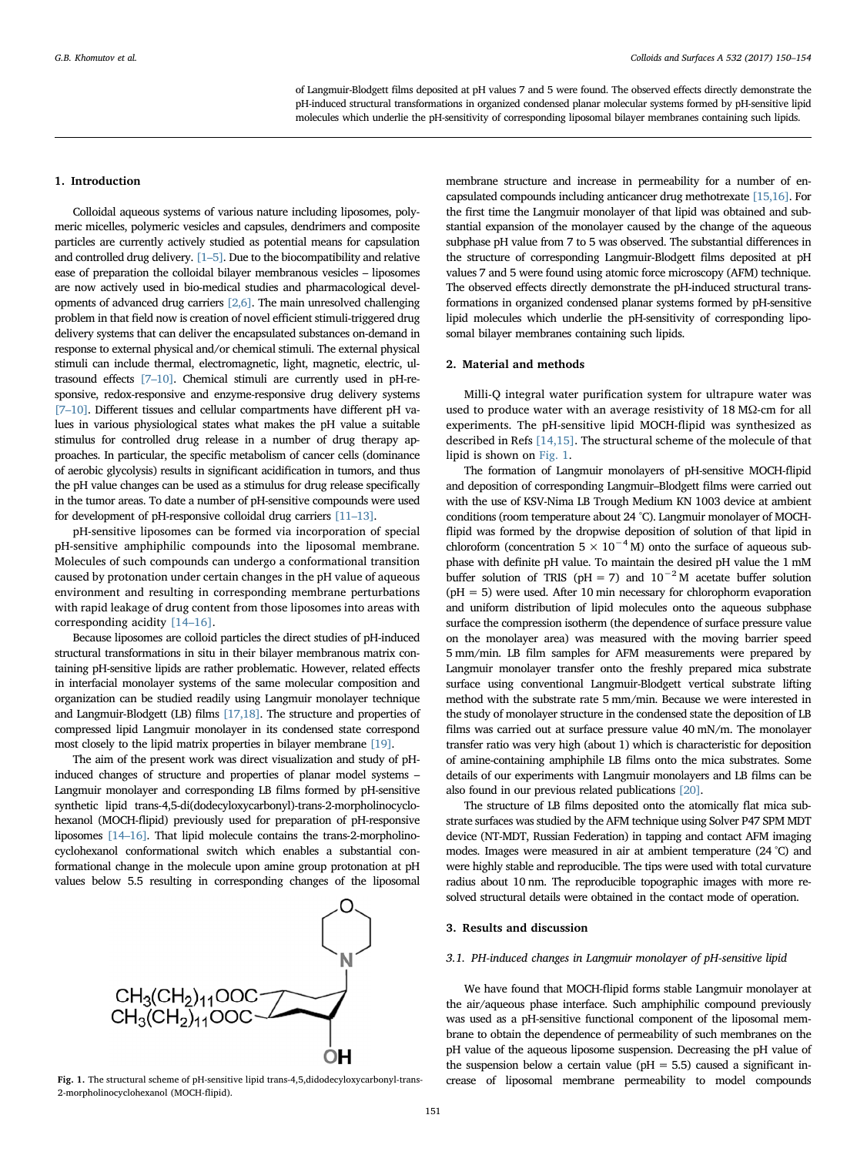of Langmuir-Blodgett films deposited at pH values 7 and 5 were found. The observed effects directly demonstrate the pH-induced structural transformations in organized condensed planar molecular systems formed by pH-sensitive lipid molecules which underlie the pH-sensitivity of corresponding liposomal bilayer membranes containing such lipids.

#### 1. Introduction

Colloidal aqueous systems of various nature including liposomes, polymeric micelles, polymeric vesicles and capsules, dendrimers and composite particles are currently actively studied as potential means for capsulation and controlled drug delivery. [\[1](#page-4-0)–5]. Due to the biocompatibility and relative ease of preparation the colloidal bilayer membranous vesicles – liposomes are now actively used in bio-medical studies and pharmacological developments of advanced drug carriers [\[2,6\].](#page-4-1) The main unresolved challenging problem in that field now is creation of novel efficient stimuli-triggered drug delivery systems that can deliver the encapsulated substances on-demand in response to external physical and/or chemical stimuli. The external physical stimuli can include thermal, electromagnetic, light, magnetic, electric, ultrasound effects [7–[10\]](#page-4-2). Chemical stimuli are currently used in pH-responsive, redox-responsive and enzyme-responsive drug delivery systems [7–[10\]](#page-4-2). Different tissues and cellular compartments have different pH values in various physiological states what makes the pH value a suitable stimulus for controlled drug release in a number of drug therapy approaches. In particular, the specific metabolism of cancer cells (dominance of aerobic glycolysis) results in significant acidification in tumors, and thus the pH value changes can be used as a stimulus for drug release specifically in the tumor areas. To date a number of pH-sensitive compounds were used for development of pH-responsive colloidal drug carriers [\[11](#page-4-3)–13].

pH-sensitive liposomes can be formed via incorporation of special pH-sensitive amphiphilic compounds into the liposomal membrane. Molecules of such compounds can undergo a conformational transition caused by protonation under certain changes in the pH value of aqueous environment and resulting in corresponding membrane perturbations with rapid leakage of drug content from those liposomes into areas with corresponding acidity [14–[16\].](#page-4-4)

Because liposomes are colloid particles the direct studies of pH-induced structural transformations in situ in their bilayer membranous matrix containing pH-sensitive lipids are rather problematic. However, related effects in interfacial monolayer systems of the same molecular composition and organization can be studied readily using Langmuir monolayer technique and Langmuir-Blodgett (LB) films [\[17,18\].](#page-4-5) The structure and properties of compressed lipid Langmuir monolayer in its condensed state correspond most closely to the lipid matrix properties in bilayer membrane [\[19\]](#page-4-6).

The aim of the present work was direct visualization and study of pHinduced changes of structure and properties of planar model systems – Langmuir monolayer and corresponding LB films formed by pH-sensitive synthetic lipid trans-4,5-di(dodecyloxycarbonyl)-trans-2-morpholinocyclohexanol (MOCH-flipid) previously used for preparation of pH-responsive liposomes [\[14](#page-4-4)–16]. That lipid molecule contains the trans-2-morpholinocyclohexanol conformational switch which enables a substantial conformational change in the molecule upon amine group protonation at pH values below 5.5 resulting in corresponding changes of the liposomal

<span id="page-1-0"></span>

2-morpholinocyclohexanol (MOCH-flipid).

membrane structure and increase in permeability for a number of encapsulated compounds including anticancer drug methotrexate [\[15,16\]](#page-4-7). For the first time the Langmuir monolayer of that lipid was obtained and substantial expansion of the monolayer caused by the change of the aqueous subphase pH value from 7 to 5 was observed. The substantial differences in the structure of corresponding Langmuir-Blodgett films deposited at pH values 7 and 5 were found using atomic force microscopy (AFM) technique. The observed effects directly demonstrate the pH-induced structural transformations in organized condensed planar systems formed by pH-sensitive lipid molecules which underlie the pH-sensitivity of corresponding liposomal bilayer membranes containing such lipids.

#### 2. Material and methods

Milli-Q integral water purification system for ultrapure water was used to produce water with an average resistivity of 18 MΩ-cm for all experiments. The pH-sensitive lipid MOCH-flipid was synthesized as described in Refs [\[14,15\].](#page-4-4) The structural scheme of the molecule of that lipid is shown on [Fig. 1.](#page-1-0)

The formation of Langmuir monolayers of pH-sensitive MOCH-flipid and deposition of corresponding Langmuir–Blodgett films were carried out with the use of KSV-Nima LB Trough Medium KN 1003 device at ambient conditions (room temperature about 24 °C). Langmuir monolayer of MOCHflipid was formed by the dropwise deposition of solution of that lipid in chloroform (concentration  $5 \times 10^{-4}$  M) onto the surface of aqueous subphase with definite pH value. To maintain the desired pH value the 1 mM buffer solution of TRIS (pH = 7) and  $10^{-2}$  M acetate buffer solution  $(pH = 5)$  were used. After 10 min necessary for chlorophorm evaporation and uniform distribution of lipid molecules onto the aqueous subphase surface the compression isotherm (the dependence of surface pressure value on the monolayer area) was measured with the moving barrier speed 5 mm/min. LB film samples for AFM measurements were prepared by Langmuir monolayer transfer onto the freshly prepared mica substrate surface using conventional Langmuir-Blodgett vertical substrate lifting method with the substrate rate 5 mm/min. Because we were interested in the study of monolayer structure in the condensed state the deposition of LB films was carried out at surface pressure value 40 mN/m. The monolayer transfer ratio was very high (about 1) which is characteristic for deposition of amine-containing amphiphile LB films onto the mica substrates. Some details of our experiments with Langmuir monolayers and LB films can be also found in our previous related publications [\[20\]](#page-4-8).

The structure of LB films deposited onto the atomically flat mica substrate surfaces was studied by the AFM technique using Solver P47 SPM MDT device (NT-MDT, Russian Federation) in tapping and contact AFM imaging modes. Images were measured in air at ambient temperature (24 °C) and were highly stable and reproducible. The tips were used with total curvature radius about 10 nm. The reproducible topographic images with more resolved structural details were obtained in the contact mode of operation.

#### 3. Results and discussion

#### <span id="page-1-1"></span>3.1. PH-induced changes in Langmuir monolayer of pH-sensitive lipid

We have found that MOCH-flipid forms stable Langmuir monolayer at the air/aqueous phase interface. Such amphiphilic compound previously was used as a pH-sensitive functional component of the liposomal membrane to obtain the dependence of permeability of such membranes on the pH value of the aqueous liposome suspension. Decreasing the pH value of the suspension below a certain value ( $pH = 5.5$ ) caused a significant in-Fig. 1. The structural scheme of pH-sensitive lipid trans-4,5,didodecyloxycarbonyl-trans- crease of liposomal membrane permeability to model compounds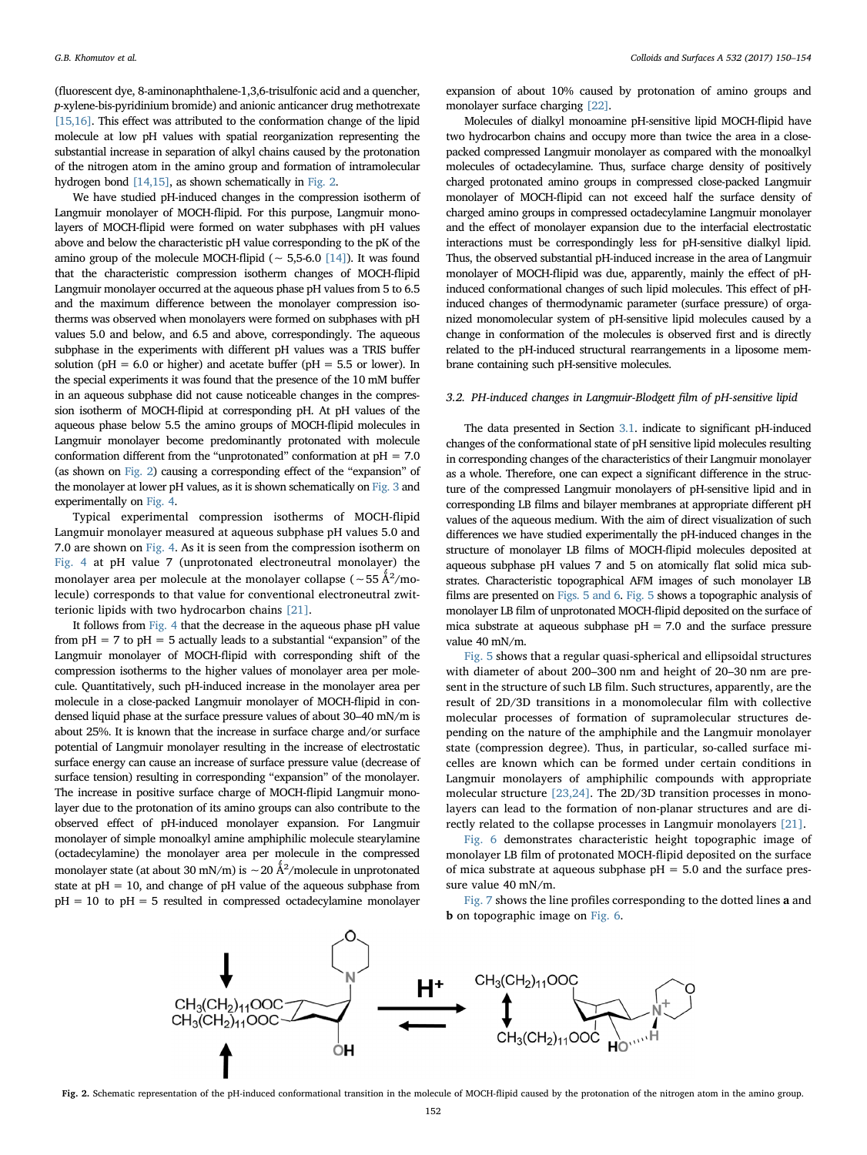(fluorescent dye, 8-aminonaphthalene-1,3,6-trisulfonic acid and a quencher, p-xylene-bis-pyridinium bromide) and anionic anticancer drug methotrexate [\[15,16\].](#page-4-7) This effect was attributed to the conformation change of the lipid molecule at low pH values with spatial reorganization representing the substantial increase in separation of alkyl chains caused by the protonation of the nitrogen atom in the amino group and formation of intramolecular hydrogen bond [\[14,15\]](#page-4-4), as shown schematically in [Fig. 2.](#page-2-0)

We have studied pH-induced changes in the compression isotherm of Langmuir monolayer of MOCH-flipid. For this purpose, Langmuir monolayers of MOCH-flipid were formed on water subphases with pH values above and below the characteristic pH value corresponding to the pK of the amino group of the molecule MOCH-flipid ( $~ 5.5-6.0$  [\[14\]](#page-4-4)). It was found that the characteristic compression isotherm changes of MOCH-flipid Langmuir monolayer occurred at the aqueous phase pH values from 5 to 6.5 and the maximum difference between the monolayer compression isotherms was observed when monolayers were formed on subphases with pH values 5.0 and below, and 6.5 and above, correspondingly. The aqueous subphase in the experiments with different pH values was a TRIS buffer solution ( $pH = 6.0$  or higher) and acetate buffer ( $pH = 5.5$  or lower). In the special experiments it was found that the presence of the 10 mM buffer in an aqueous subphase did not cause noticeable changes in the compression isotherm of MOCH-flipid at corresponding pH. At pH values of the aqueous phase below 5.5 the amino groups of MOCH-flipid molecules in Langmuir monolayer become predominantly protonated with molecule conformation different from the "unprotonated" conformation at  $pH = 7.0$ (as shown on [Fig. 2](#page-2-0)) causing a corresponding effect of the "expansion" of the monolayer at lower pH values, as it is shown schematically on [Fig. 3](#page-3-0) and experimentally on [Fig. 4.](#page-3-1)

Typical experimental compression isotherms of MOCH-flipid Langmuir monolayer measured at aqueous subphase pH values 5.0 and 7.0 are shown on [Fig. 4](#page-3-1). As it is seen from the compression isotherm on [Fig. 4](#page-3-1) at pH value 7 (unprotonated electroneutral monolayer) the monolayer area per molecule at the monolayer collapse (~55 Å $^2$ /molecule) corresponds to that value for conventional electroneutral zwitterionic lipids with two hydrocarbon chains [\[21\]](#page-4-9).

It follows from [Fig. 4](#page-3-1) that the decrease in the aqueous phase pH value from  $pH = 7$  to  $pH = 5$  actually leads to a substantial "expansion" of the Langmuir monolayer of MOCH-flipid with corresponding shift of the compression isotherms to the higher values of monolayer area per molecule. Quantitatively, such pH-induced increase in the monolayer area per molecule in a close-packed Langmuir monolayer of MOCH-flipid in condensed liquid phase at the surface pressure values of about 30–40 mN/m is about 25%. It is known that the increase in surface charge and/or surface potential of Langmuir monolayer resulting in the increase of electrostatic surface energy can cause an increase of surface pressure value (decrease of surface tension) resulting in corresponding "expansion" of the monolayer. The increase in positive surface charge of MOCH-flipid Langmuir monolayer due to the protonation of its amino groups can also contribute to the observed effect of pH-induced monolayer expansion. For Langmuir monolayer of simple monoalkyl amine amphiphilic molecule stearylamine (octadecylamine) the monolayer area per molecule in the compressed monolayer state (at about 30 mN/m) is ∼20 Å<sup>2</sup>/molecule in unprotonated state at  $pH = 10$ , and change of  $pH$  value of the aqueous subphase from  $pH = 10$  to  $pH = 5$  resulted in compressed octadecylamine monolayer

expansion of about 10% caused by protonation of amino groups and monolayer surface charging [\[22\]](#page-4-10).

Molecules of dialkyl monoamine pH-sensitive lipid MOCH-flipid have two hydrocarbon chains and occupy more than twice the area in a closepacked compressed Langmuir monolayer as compared with the monoalkyl molecules of octadecylamine. Thus, surface charge density of positively charged protonated amino groups in compressed close-packed Langmuir monolayer of MOCH-flipid can not exceed half the surface density of charged amino groups in compressed octadecylamine Langmuir monolayer and the effect of monolayer expansion due to the interfacial electrostatic interactions must be correspondingly less for pH-sensitive dialkyl lipid. Thus, the observed substantial pH-induced increase in the area of Langmuir monolayer of MOCH-flipid was due, apparently, mainly the effect of pHinduced conformational changes of such lipid molecules. This effect of pHinduced changes of thermodynamic parameter (surface pressure) of organized monomolecular system of pH-sensitive lipid molecules caused by a change in conformation of the molecules is observed first and is directly related to the pH-induced structural rearrangements in a liposome membrane containing such pH-sensitive molecules.

#### 3.2. PH-induced changes in Langmuir-Blodgett film of pH-sensitive lipid

The data presented in Section [3.1](#page-1-1). indicate to significant pH-induced changes of the conformational state of pH sensitive lipid molecules resulting in corresponding changes of the characteristics of their Langmuir monolayer as a whole. Therefore, one can expect a significant difference in the structure of the compressed Langmuir monolayers of pH-sensitive lipid and in corresponding LB films and bilayer membranes at appropriate different pH values of the aqueous medium. With the aim of direct visualization of such differences we have studied experimentally the pH-induced changes in the structure of monolayer LB films of MOCH-flipid molecules deposited at aqueous subphase pH values 7 and 5 on atomically flat solid mica substrates. Characteristic topographical AFM images of such monolayer LB films are presented on [Figs. 5 and 6](#page-3-2). [Fig. 5](#page-3-2) shows a topographic analysis of monolayer LB film of unprotonated MOCH-flipid deposited on the surface of mica substrate at aqueous subphase  $pH = 7.0$  and the surface pressure value 40 mN/m.

[Fig. 5](#page-3-2) shows that a regular quasi-spherical and ellipsoidal structures with diameter of about 200–300 nm and height of 20–30 nm are present in the structure of such LB film. Such structures, apparently, are the result of 2D/3D transitions in a monomolecular film with collective molecular processes of formation of supramolecular structures depending on the nature of the amphiphile and the Langmuir monolayer state (compression degree). Thus, in particular, so-called surface micelles are known which can be formed under certain conditions in Langmuir monolayers of amphiphilic compounds with appropriate molecular structure [\[23,24\].](#page-4-11) The 2D/3D transition processes in monolayers can lead to the formation of non-planar structures and are directly related to the collapse processes in Langmuir monolayers [\[21\].](#page-4-9)

[Fig. 6](#page-3-3) demonstrates characteristic height topographic image of monolayer LB film of protonated MOCH-flipid deposited on the surface of mica substrate at aqueous subphase  $pH = 5.0$  and the surface pressure value 40 mN/m.

[Fig. 7](#page-4-12) shows the line profiles corresponding to the dotted lines a and b on topographic image on [Fig. 6](#page-3-3).

<span id="page-2-0"></span>

Fig. 2. Schematic representation of the pH-induced conformational transition in the molecule of MOCH-flipid caused by the protonation of the nitrogen atom in the amino group.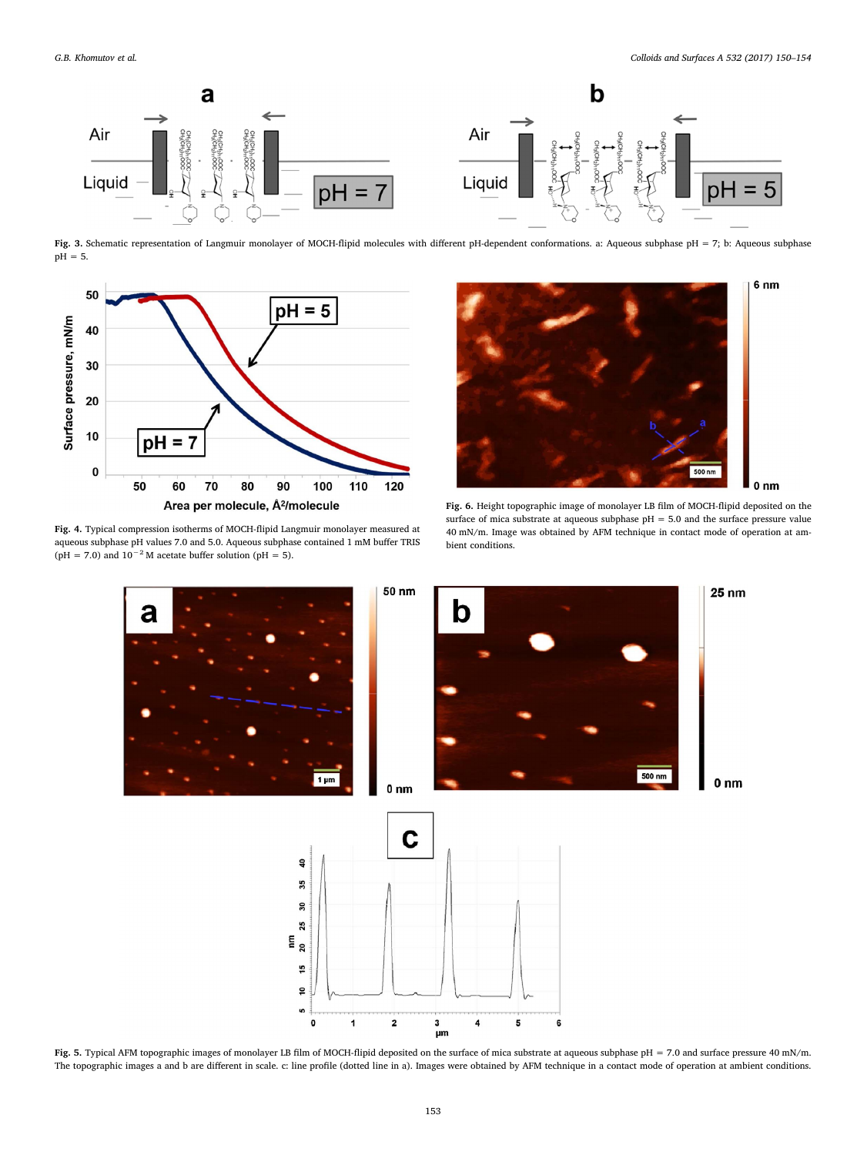<span id="page-3-0"></span>

Fig. 3. Schematic representation of Langmuir monolayer of MOCH-flipid molecules with different pH-dependent conformations. a: Aqueous subphase pH = 7; b: Aqueous subphase pH = 5.

<span id="page-3-1"></span>

Fig. 4. Typical compression isotherms of MOCH-flipid Langmuir monolayer measured at aqueous subphase pH values 7.0 and 5.0. Aqueous subphase contained 1 mM buffer TRIS (pH = 7.0) and  $10^{-2}$  M acetate buffer solution (pH = 5).

<span id="page-3-3"></span>

Fig. 6. Height topographic image of monolayer LB film of MOCH-flipid deposited on the surface of mica substrate at aqueous subphase pH = 5.0 and the surface pressure value 40 mN/m. Image was obtained by AFM technique in contact mode of operation at ambient conditions.

<span id="page-3-2"></span>

Fig. 5. Typical AFM topographic images of monolayer LB film of MOCH-flipid deposited on the surface of mica substrate at aqueous subphase pH = 7.0 and surface pressure 40 mN/m. The topographic images a and b are different in scale. c: line profile (dotted line in a). Images were obtained by AFM technique in a contact mode of operation at ambient conditions.